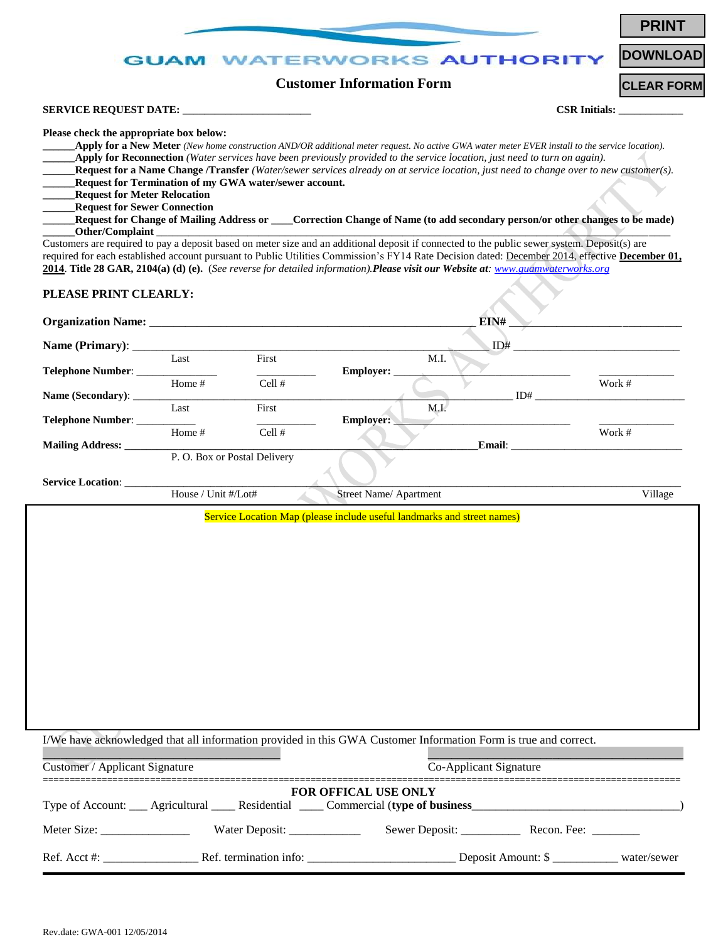|                                                                                                                                                                                                                                                                                                                                                                                                                                              |                             |                                                        |                                  |                                                                         |                                                                                                                                                                                                                                                                                                                                                                                                                                                                                                                                                               | <b>PRINT</b>         |
|----------------------------------------------------------------------------------------------------------------------------------------------------------------------------------------------------------------------------------------------------------------------------------------------------------------------------------------------------------------------------------------------------------------------------------------------|-----------------------------|--------------------------------------------------------|----------------------------------|-------------------------------------------------------------------------|---------------------------------------------------------------------------------------------------------------------------------------------------------------------------------------------------------------------------------------------------------------------------------------------------------------------------------------------------------------------------------------------------------------------------------------------------------------------------------------------------------------------------------------------------------------|----------------------|
|                                                                                                                                                                                                                                                                                                                                                                                                                                              | GUAM WAT                    |                                                        |                                  | <b>VORKS AUTHORIT</b>                                                   |                                                                                                                                                                                                                                                                                                                                                                                                                                                                                                                                                               | <b>DOWNLOAD</b>      |
|                                                                                                                                                                                                                                                                                                                                                                                                                                              |                             |                                                        | <b>Customer Information Form</b> |                                                                         |                                                                                                                                                                                                                                                                                                                                                                                                                                                                                                                                                               | <b>CLEAR FORM</b>    |
|                                                                                                                                                                                                                                                                                                                                                                                                                                              |                             |                                                        |                                  |                                                                         |                                                                                                                                                                                                                                                                                                                                                                                                                                                                                                                                                               | <b>CSR Initials:</b> |
| Please check the appropriate box below:<br><b>Request for Meter Relocation</b><br><b>Request for Sewer Connection</b><br>Other/Complaint<br>Customers are required to pay a deposit based on meter size and an additional deposit if connected to the public sewer system. Deposit(s) are<br>required for each established account pursuant to Public Utilities Commission's FY14 Rate Decision dated: December 2014, effective December 01, |                             | Request for Termination of my GWA water/sewer account. |                                  |                                                                         | Apply for a New Meter (New home construction AND/OR additional meter request. No active GWA water meter EVER install to the service location).<br><b>Apply for Reconnection</b> (Water services have been previously provided to the service location, just need to turn on again).<br>Request for a Name Change /Transfer (Water/sewer services already on at service location, just need to change over to new customer(s).<br>Request for Change of Mailing Address or ____Correction Change of Name (to add secondary person/or other changes to be made) |                      |
| 2014. Title 28 GAR, 2104(a) (d) (e). (See reverse for detailed information). Please visit our Website at: www.guamwaterworks.org                                                                                                                                                                                                                                                                                                             |                             |                                                        |                                  |                                                                         |                                                                                                                                                                                                                                                                                                                                                                                                                                                                                                                                                               |                      |
| PLEASE PRINT CLEARLY:                                                                                                                                                                                                                                                                                                                                                                                                                        |                             |                                                        |                                  |                                                                         |                                                                                                                                                                                                                                                                                                                                                                                                                                                                                                                                                               |                      |
|                                                                                                                                                                                                                                                                                                                                                                                                                                              |                             |                                                        |                                  | EIN#                                                                    |                                                                                                                                                                                                                                                                                                                                                                                                                                                                                                                                                               |                      |
|                                                                                                                                                                                                                                                                                                                                                                                                                                              | Last                        | First                                                  |                                  | ID#<br>M.I.                                                             |                                                                                                                                                                                                                                                                                                                                                                                                                                                                                                                                                               |                      |
| Telephone Number: _____________                                                                                                                                                                                                                                                                                                                                                                                                              | Home #                      | Cell#                                                  | Employer: _                      |                                                                         |                                                                                                                                                                                                                                                                                                                                                                                                                                                                                                                                                               | Work #               |
|                                                                                                                                                                                                                                                                                                                                                                                                                                              |                             |                                                        |                                  |                                                                         | ID#                                                                                                                                                                                                                                                                                                                                                                                                                                                                                                                                                           |                      |
| Telephone Number:                                                                                                                                                                                                                                                                                                                                                                                                                            | Last                        | First                                                  | <b>Employer:</b>                 | M.I.                                                                    |                                                                                                                                                                                                                                                                                                                                                                                                                                                                                                                                                               |                      |
| <b>Mailing Address:</b>                                                                                                                                                                                                                                                                                                                                                                                                                      | Home #                      | Cell #                                                 |                                  |                                                                         |                                                                                                                                                                                                                                                                                                                                                                                                                                                                                                                                                               | Work #               |
|                                                                                                                                                                                                                                                                                                                                                                                                                                              | P.O. Box or Postal Delivery |                                                        |                                  |                                                                         |                                                                                                                                                                                                                                                                                                                                                                                                                                                                                                                                                               |                      |
| <b>Service Location:</b>                                                                                                                                                                                                                                                                                                                                                                                                                     | House / Unit #/Lot#         |                                                        | Street Name/ Apartment           |                                                                         |                                                                                                                                                                                                                                                                                                                                                                                                                                                                                                                                                               | Village              |
|                                                                                                                                                                                                                                                                                                                                                                                                                                              |                             |                                                        |                                  | Service Location Map (please include useful landmarks and street names) |                                                                                                                                                                                                                                                                                                                                                                                                                                                                                                                                                               |                      |
| I/We have acknowledged that all information provided in this GWA Customer Information Form is true and correct.                                                                                                                                                                                                                                                                                                                              |                             |                                                        |                                  |                                                                         |                                                                                                                                                                                                                                                                                                                                                                                                                                                                                                                                                               |                      |
| Customer / Applicant Signature                                                                                                                                                                                                                                                                                                                                                                                                               |                             |                                                        |                                  | Co-Applicant Signature                                                  |                                                                                                                                                                                                                                                                                                                                                                                                                                                                                                                                                               |                      |
| Type of Account: __ Agricultural ___ Residential ___ Commercial (type of business_____________________________                                                                                                                                                                                                                                                                                                                               |                             |                                                        | FOR OFFICAL USE ONLY             |                                                                         |                                                                                                                                                                                                                                                                                                                                                                                                                                                                                                                                                               |                      |
|                                                                                                                                                                                                                                                                                                                                                                                                                                              |                             |                                                        |                                  |                                                                         |                                                                                                                                                                                                                                                                                                                                                                                                                                                                                                                                                               |                      |
|                                                                                                                                                                                                                                                                                                                                                                                                                                              |                             |                                                        |                                  |                                                                         |                                                                                                                                                                                                                                                                                                                                                                                                                                                                                                                                                               |                      |